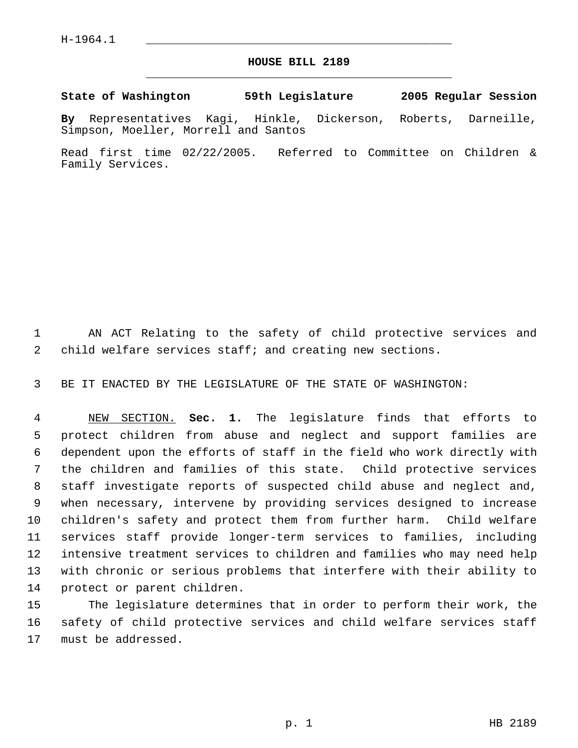## **HOUSE BILL 2189** \_\_\_\_\_\_\_\_\_\_\_\_\_\_\_\_\_\_\_\_\_\_\_\_\_\_\_\_\_\_\_\_\_\_\_\_\_\_\_\_\_\_\_\_\_

**State of Washington 59th Legislature 2005 Regular Session**

**By** Representatives Kagi, Hinkle, Dickerson, Roberts, Darneille, Simpson, Moeller, Morrell and Santos

Read first time 02/22/2005. Referred to Committee on Children & Family Services.

 AN ACT Relating to the safety of child protective services and child welfare services staff; and creating new sections.

BE IT ENACTED BY THE LEGISLATURE OF THE STATE OF WASHINGTON:

 NEW SECTION. **Sec. 1.** The legislature finds that efforts to protect children from abuse and neglect and support families are dependent upon the efforts of staff in the field who work directly with the children and families of this state. Child protective services staff investigate reports of suspected child abuse and neglect and, when necessary, intervene by providing services designed to increase children's safety and protect them from further harm. Child welfare services staff provide longer-term services to families, including intensive treatment services to children and families who may need help with chronic or serious problems that interfere with their ability to protect or parent children.

 The legislature determines that in order to perform their work, the safety of child protective services and child welfare services staff must be addressed.